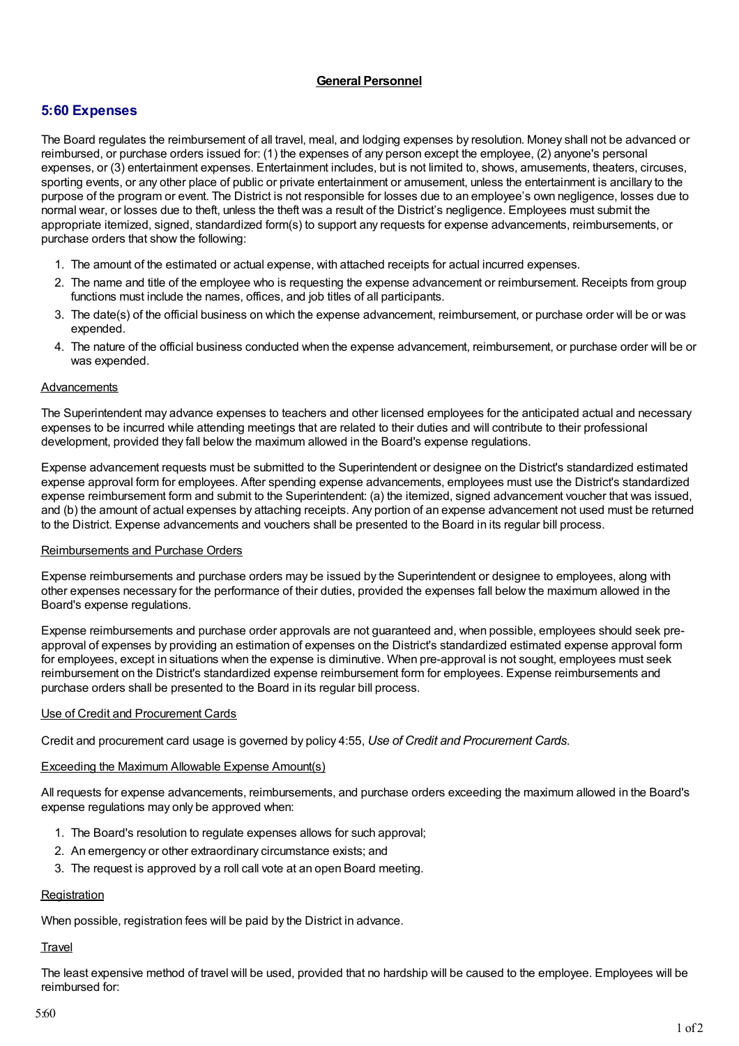## **General Personnel**

# **5:60 Expenses**

The Board regulates the reimbursement of all travel, meal, and lodging expenses by resolution. Money shall not be advanced or reimbursed, or purchase orders issued for: (1) the expenses of any person except the employee, (2) anyone's personal expenses, or (3) entertainment expenses. Entertainment includes, but is not limited to, shows, amusements, theaters, circuses, sporting events, or any other place of public or private entertainment or amusement, unless the entertainment is ancillary to the purpose of the program or event. The District is not responsible for losses due to an employee's own negligence, losses due to normal wear, or losses due to theft, unless the theft was a result of the District's negligence. Employees must submit the appropriate itemized, signed, standardized form(s) to support any requests for expense advancements, reimbursements, or purchase orders that show the following:

- 1. The amount of the estimated or actual expense, with attached receipts for actual incurred expenses.
- 2. The name and title of the employee who is requesting the expense advancement or reimbursement. Receipts from group functions must include the names, offices, and job titles of all participants.
- 3. The date(s) of the official business on which the expense advancement, reimbursement, or purchase order will be or was expended.
- 4. The nature of the official business conducted when the expense advancement, reimbursement, or purchase order will be or was expended.

## Advancements

The Superintendent may advance expenses to teachers and other licensed employees for the anticipated actual and necessary expenses to be incurred while attending meetings that are related to their duties and will contribute to their professional development, provided they fall below the maximum allowed in the Board's expense regulations.

Expense advancement requests must be submitted to the Superintendent or designee on the District's standardized estimated expense approval form for employees. After spending expense advancements, employees must use the District's standardized expense reimbursement form and submit to the Superintendent: (a) the itemized, signed advancement voucher that was issued, and (b) the amount of actual expenses by attaching receipts. Any portion of an expense advancement not used must be returned to the District. Expense advancements and vouchers shall be presented to the Board in its regular bill process.

#### Reimbursements and Purchase Orders

Expense reimbursements and purchase orders may be issued by the Superintendent or designee to employees, along with other expenses necessary for the performance of their duties, provided the expenses fall below the maximum allowed in the Board's expense regulations.

Expense reimbursements and purchase order approvals are not guaranteed and, when possible, employees should seek preapproval of expenses by providing an estimation of expenses on the District's standardized estimated expense approval form for employees, except in situations when the expense is diminutive. When pre-approval is not sought, employees must seek reimbursement on the District's standardized expense reimbursement form for employees. Expense reimbursements and purchase orders shall be presented to the Board in its regular bill process.

#### Use of Credit and Procurement Cards

Credit and procurement card usage is governed by policy 4:55, *Use of Credit and Procurement Cards*.

#### Exceeding the Maximum Allowable Expense Amount(s)

All requests for expense advancements, reimbursements, and purchase orders exceeding the maximum allowed in the Board's expense regulations may only be approved when:

- 1. The Board's resolution to regulate expenses allows for such approval;
- 2. An emergency or other extraordinary circumstance exists; and
- 3. The request is approved by a roll call vote at an open Board meeting.

#### **Registration**

When possible, registration fees will be paid by the District in advance.

#### **Travel**

The least expensive method of travel will be used, provided that no hardship will be caused to the employee. Employees will be reimbursed for: